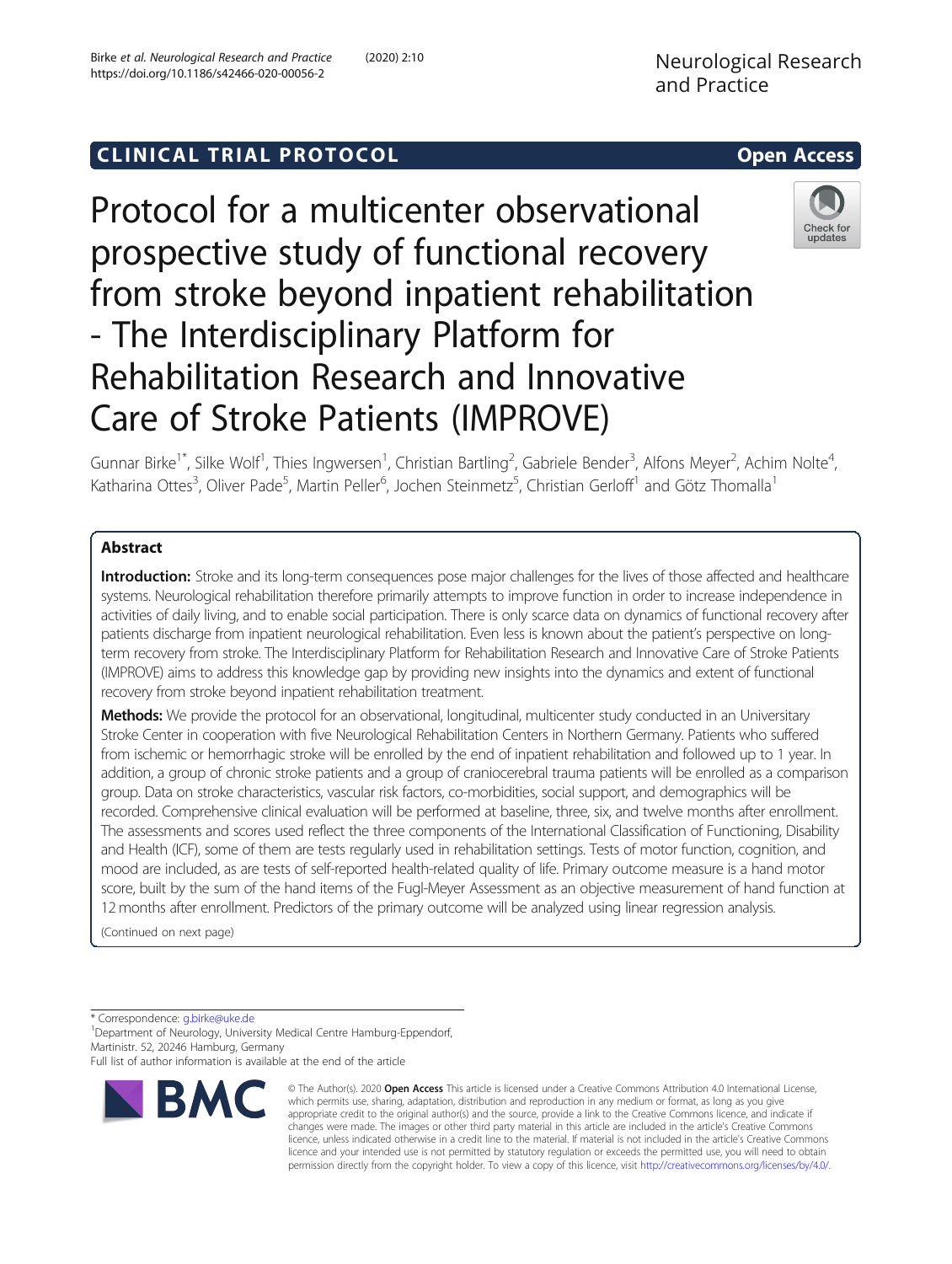# C LINICA L TRIA L P RO TOCO L Open Access

Protocol for a multicenter observational prospective study of functional recovery from stroke beyond inpatient rehabilitation - The Interdisciplinary Platform for Rehabilitation Research and Innovative Care of Stroke Patients (IMPROVE)



Gunnar Birke<sup>1\*</sup>, Silke Wolf<sup>1</sup>, Thies Ingwersen<sup>1</sup>, Christian Bartling<sup>2</sup>, Gabriele Bender<sup>3</sup>, Alfons Meyer<sup>2</sup>, Achim Nolte<sup>4</sup> , Katharina Ottes<sup>3</sup>, Oliver Pade<sup>5</sup>, Martin Peller<sup>6</sup>, Jochen Steinmetz<sup>5</sup>, Christian Gerloff<sup>1</sup> and Götz Thomalla<sup>1</sup>

# Abstract

Introduction: Stroke and its long-term consequences pose major challenges for the lives of those affected and healthcare systems. Neurological rehabilitation therefore primarily attempts to improve function in order to increase independence in activities of daily living, and to enable social participation. There is only scarce data on dynamics of functional recovery after patients discharge from inpatient neurological rehabilitation. Even less is known about the patient's perspective on longterm recovery from stroke. The Interdisciplinary Platform for Rehabilitation Research and Innovative Care of Stroke Patients (IMPROVE) aims to address this knowledge gap by providing new insights into the dynamics and extent of functional recovery from stroke beyond inpatient rehabilitation treatment.

Methods: We provide the protocol for an observational, longitudinal, multicenter study conducted in an Universitary Stroke Center in cooperation with five Neurological Rehabilitation Centers in Northern Germany. Patients who suffered from ischemic or hemorrhagic stroke will be enrolled by the end of inpatient rehabilitation and followed up to 1 year. In addition, a group of chronic stroke patients and a group of craniocerebral trauma patients will be enrolled as a comparison group. Data on stroke characteristics, vascular risk factors, co-morbidities, social support, and demographics will be recorded. Comprehensive clinical evaluation will be performed at baseline, three, six, and twelve months after enrollment. The assessments and scores used reflect the three components of the International Classification of Functioning, Disability and Health (ICF), some of them are tests regularly used in rehabilitation settings. Tests of motor function, cognition, and mood are included, as are tests of self-reported health-related quality of life. Primary outcome measure is a hand motor score, built by the sum of the hand items of the Fugl-Meyer Assessment as an objective measurement of hand function at 12 months after enrollment. Predictors of the primary outcome will be analyzed using linear regression analysis.

(Continued on next page)

\* Correspondence: [g.birke@uke.de](mailto:g.birke@uke.de) <sup>1</sup>

<sup>1</sup> Department of Neurology, University Medical Centre Hamburg-Eppendorf, Martinistr. 52, 20246 Hamburg, Germany

Full list of author information is available at the end of the article



© The Author(s). 2020 Open Access This article is licensed under a Creative Commons Attribution 4.0 International License, which permits use, sharing, adaptation, distribution and reproduction in any medium or format, as long as you give appropriate credit to the original author(s) and the source, provide a link to the Creative Commons licence, and indicate if changes were made. The images or other third party material in this article are included in the article's Creative Commons licence, unless indicated otherwise in a credit line to the material. If material is not included in the article's Creative Commons licence and your intended use is not permitted by statutory regulation or exceeds the permitted use, you will need to obtain permission directly from the copyright holder. To view a copy of this licence, visit [http://creativecommons.org/licenses/by/4.0/.](http://creativecommons.org/licenses/by/4.0/)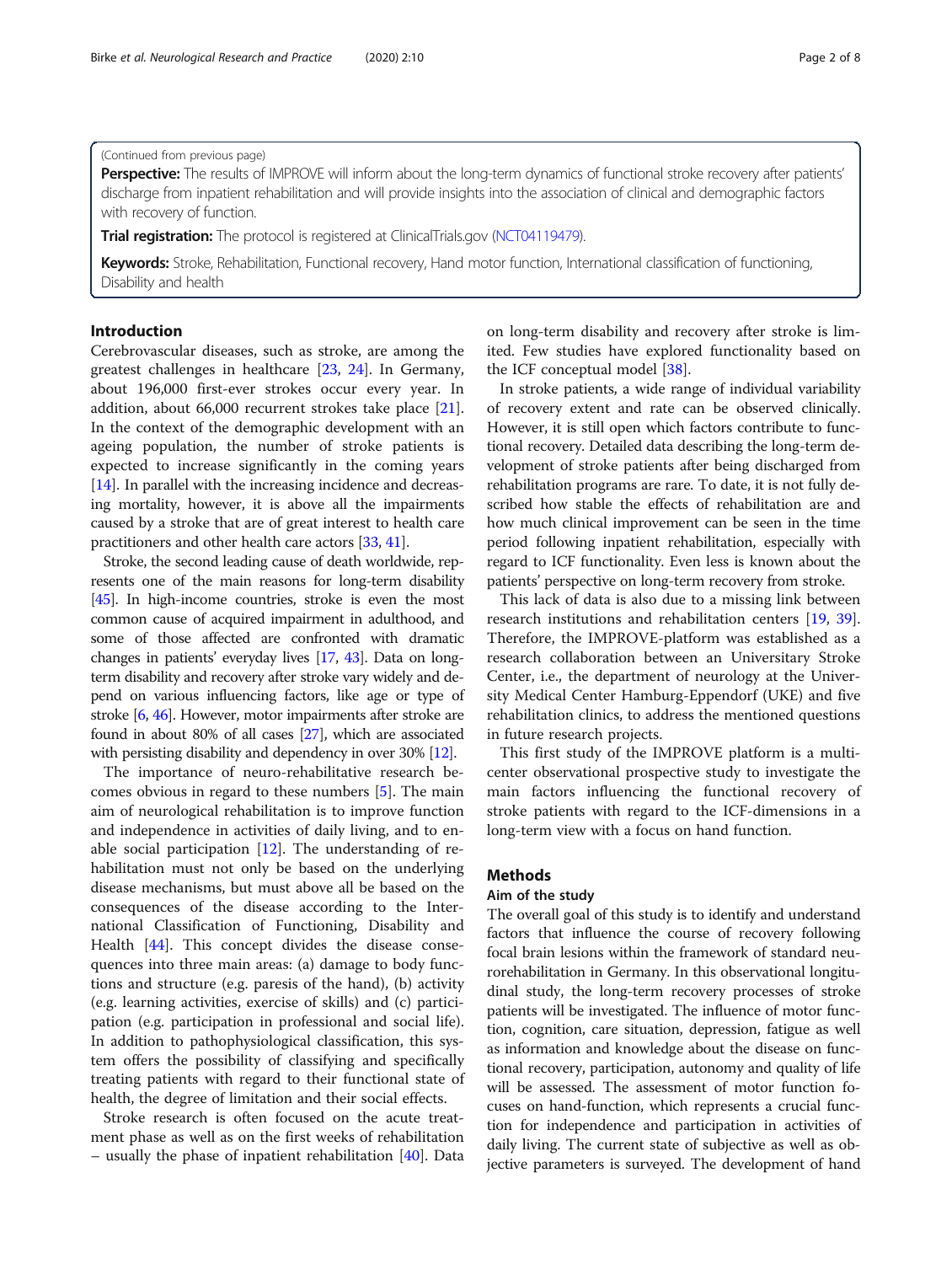#### (Continued from previous page)

Perspective: The results of IMPROVE will inform about the long-term dynamics of functional stroke recovery after patients' discharge from inpatient rehabilitation and will provide insights into the association of clinical and demographic factors with recovery of function.

Trial registration: The protocol is registered at ClinicalTrials.gov [\(NCT04119479\)](https://clinicaltrials.gov/ct2/show/NCT04119479).

Keywords: Stroke, Rehabilitation, Functional recovery, Hand motor function, International classification of functioning, Disability and health

# Introduction

Cerebrovascular diseases, such as stroke, are among the greatest challenges in healthcare [\[23](#page-6-0), [24\]](#page-6-0). In Germany, about 196,000 first-ever strokes occur every year. In addition, about 66,000 recurrent strokes take place [\[21](#page-6-0)]. In the context of the demographic development with an ageing population, the number of stroke patients is expected to increase significantly in the coming years [[14\]](#page-6-0). In parallel with the increasing incidence and decreasing mortality, however, it is above all the impairments caused by a stroke that are of great interest to health care practitioners and other health care actors [\[33,](#page-6-0) [41](#page-6-0)].

Stroke, the second leading cause of death worldwide, represents one of the main reasons for long-term disability [[45](#page-7-0)]. In high-income countries, stroke is even the most common cause of acquired impairment in adulthood, and some of those affected are confronted with dramatic changes in patients' everyday lives [\[17,](#page-6-0) [43](#page-7-0)]. Data on longterm disability and recovery after stroke vary widely and depend on various influencing factors, like age or type of stroke [\[6,](#page-6-0) [46](#page-7-0)]. However, motor impairments after stroke are found in about 80% of all cases [\[27\]](#page-6-0), which are associated with persisting disability and dependency in over 30% [\[12\]](#page-6-0).

The importance of neuro-rehabilitative research becomes obvious in regard to these numbers [\[5](#page-6-0)]. The main aim of neurological rehabilitation is to improve function and independence in activities of daily living, and to enable social participation [[12\]](#page-6-0). The understanding of rehabilitation must not only be based on the underlying disease mechanisms, but must above all be based on the consequences of the disease according to the International Classification of Functioning, Disability and Health [\[44](#page-7-0)]. This concept divides the disease consequences into three main areas: (a) damage to body functions and structure (e.g. paresis of the hand), (b) activity (e.g. learning activities, exercise of skills) and (c) participation (e.g. participation in professional and social life). In addition to pathophysiological classification, this system offers the possibility of classifying and specifically treating patients with regard to their functional state of health, the degree of limitation and their social effects.

Stroke research is often focused on the acute treatment phase as well as on the first weeks of rehabilitation – usually the phase of inpatient rehabilitation [[40\]](#page-6-0). Data on long-term disability and recovery after stroke is limited. Few studies have explored functionality based on the ICF conceptual model [\[38](#page-6-0)].

In stroke patients, a wide range of individual variability of recovery extent and rate can be observed clinically. However, it is still open which factors contribute to functional recovery. Detailed data describing the long-term development of stroke patients after being discharged from rehabilitation programs are rare. To date, it is not fully described how stable the effects of rehabilitation are and how much clinical improvement can be seen in the time period following inpatient rehabilitation, especially with regard to ICF functionality. Even less is known about the patients' perspective on long-term recovery from stroke.

This lack of data is also due to a missing link between research institutions and rehabilitation centers [\[19](#page-6-0), [39](#page-6-0)]. Therefore, the IMPROVE-platform was established as a research collaboration between an Universitary Stroke Center, i.e., the department of neurology at the University Medical Center Hamburg-Eppendorf (UKE) and five rehabilitation clinics, to address the mentioned questions in future research projects.

This first study of the IMPROVE platform is a multicenter observational prospective study to investigate the main factors influencing the functional recovery of stroke patients with regard to the ICF-dimensions in a long-term view with a focus on hand function.

### Methods

#### Aim of the study

The overall goal of this study is to identify and understand factors that influence the course of recovery following focal brain lesions within the framework of standard neurorehabilitation in Germany. In this observational longitudinal study, the long-term recovery processes of stroke patients will be investigated. The influence of motor function, cognition, care situation, depression, fatigue as well as information and knowledge about the disease on functional recovery, participation, autonomy and quality of life will be assessed. The assessment of motor function focuses on hand-function, which represents a crucial function for independence and participation in activities of daily living. The current state of subjective as well as objective parameters is surveyed. The development of hand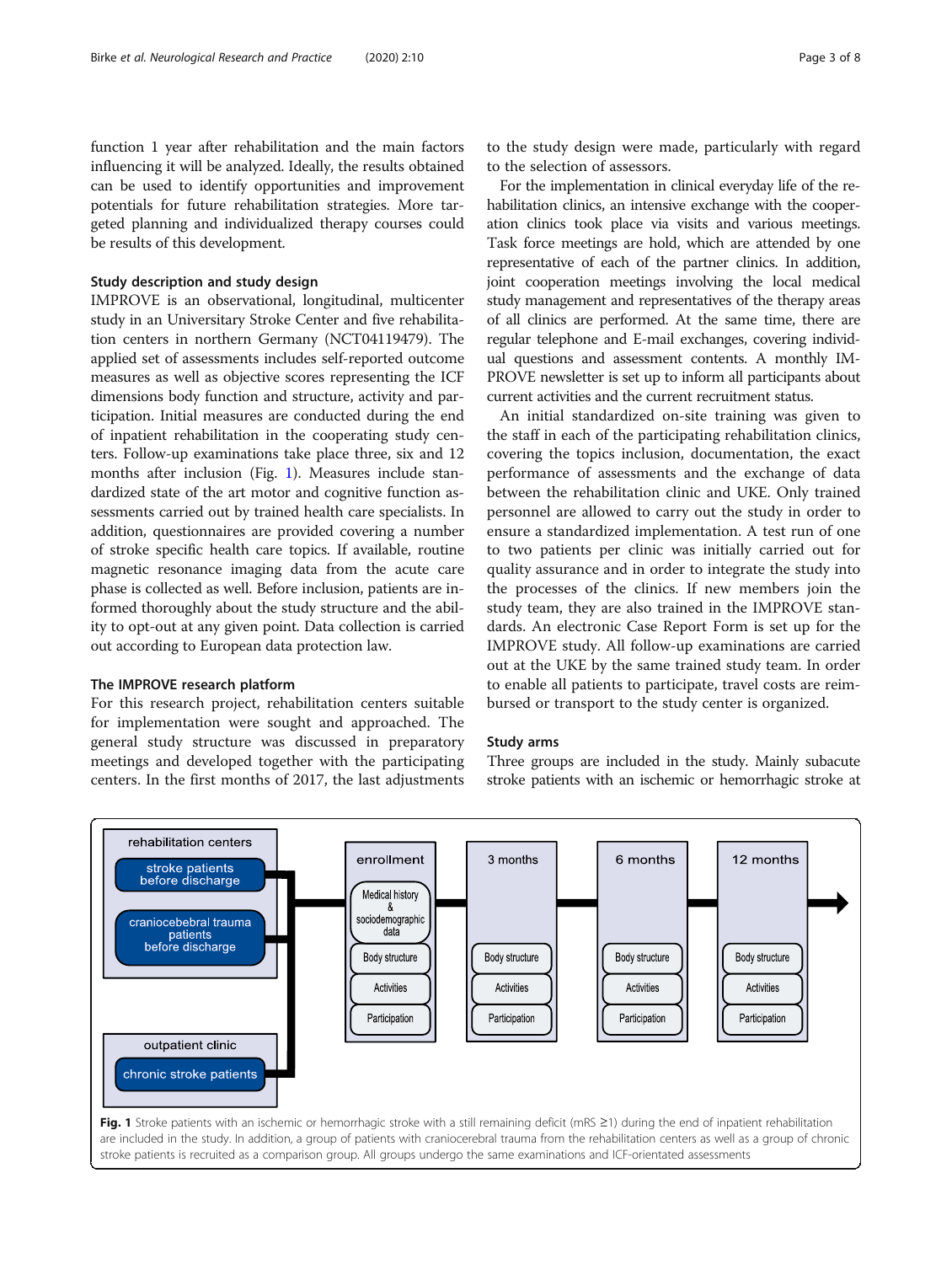function 1 year after rehabilitation and the main factors influencing it will be analyzed. Ideally, the results obtained can be used to identify opportunities and improvement potentials for future rehabilitation strategies. More targeted planning and individualized therapy courses could be results of this development.

# Study description and study design

IMPROVE is an observational, longitudinal, multicenter study in an Universitary Stroke Center and five rehabilitation centers in northern Germany (NCT04119479). The applied set of assessments includes self-reported outcome measures as well as objective scores representing the ICF dimensions body function and structure, activity and participation. Initial measures are conducted during the end of inpatient rehabilitation in the cooperating study centers. Follow-up examinations take place three, six and 12 months after inclusion (Fig. 1). Measures include standardized state of the art motor and cognitive function assessments carried out by trained health care specialists. In addition, questionnaires are provided covering a number of stroke specific health care topics. If available, routine magnetic resonance imaging data from the acute care phase is collected as well. Before inclusion, patients are informed thoroughly about the study structure and the ability to opt-out at any given point. Data collection is carried out according to European data protection law.

### The IMPROVE research platform

For this research project, rehabilitation centers suitable for implementation were sought and approached. The general study structure was discussed in preparatory meetings and developed together with the participating centers. In the first months of 2017, the last adjustments

to the study design were made, particularly with regard to the selection of assessors.

For the implementation in clinical everyday life of the rehabilitation clinics, an intensive exchange with the cooperation clinics took place via visits and various meetings. Task force meetings are hold, which are attended by one representative of each of the partner clinics. In addition, joint cooperation meetings involving the local medical study management and representatives of the therapy areas of all clinics are performed. At the same time, there are regular telephone and E-mail exchanges, covering individual questions and assessment contents. A monthly IM-PROVE newsletter is set up to inform all participants about current activities and the current recruitment status.

An initial standardized on-site training was given to the staff in each of the participating rehabilitation clinics, covering the topics inclusion, documentation, the exact performance of assessments and the exchange of data between the rehabilitation clinic and UKE. Only trained personnel are allowed to carry out the study in order to ensure a standardized implementation. A test run of one to two patients per clinic was initially carried out for quality assurance and in order to integrate the study into the processes of the clinics. If new members join the study team, they are also trained in the IMPROVE standards. An electronic Case Report Form is set up for the IMPROVE study. All follow-up examinations are carried out at the UKE by the same trained study team. In order to enable all patients to participate, travel costs are reimbursed or transport to the study center is organized.

# Study arms

Three groups are included in the study. Mainly subacute stroke patients with an ischemic or hemorrhagic stroke at

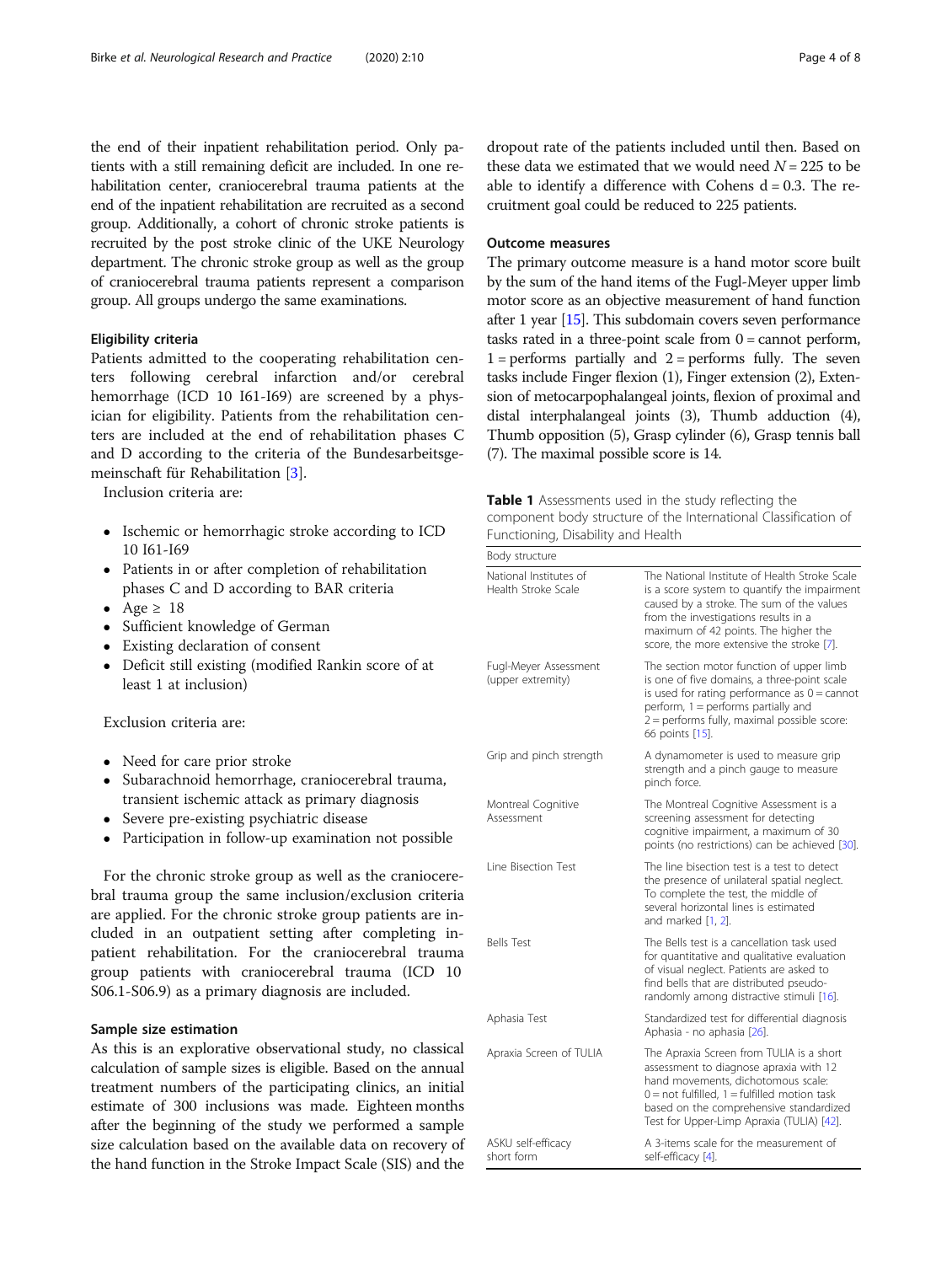<span id="page-3-0"></span>the end of their inpatient rehabilitation period. Only patients with a still remaining deficit are included. In one rehabilitation center, craniocerebral trauma patients at the end of the inpatient rehabilitation are recruited as a second group. Additionally, a cohort of chronic stroke patients is recruited by the post stroke clinic of the UKE Neurology department. The chronic stroke group as well as the group of craniocerebral trauma patients represent a comparison group. All groups undergo the same examinations.

# Eligibility criteria

Patients admitted to the cooperating rehabilitation centers following cerebral infarction and/or cerebral hemorrhage (ICD 10 I61-I69) are screened by a physician for eligibility. Patients from the rehabilitation centers are included at the end of rehabilitation phases C and D according to the criteria of the Bundesarbeitsgemeinschaft für Rehabilitation [[3\]](#page-5-0).

Inclusion criteria are:

- Ischemic or hemorrhagic stroke according to ICD 10 I61-I69
- Patients in or after completion of rehabilitation phases C and D according to BAR criteria
- Age  $\geq 18$
- Sufficient knowledge of German
- Existing declaration of consent
- Deficit still existing (modified Rankin score of at least 1 at inclusion)

Exclusion criteria are:

- Need for care prior stroke
- Subarachnoid hemorrhage, craniocerebral trauma, transient ischemic attack as primary diagnosis
- Severe pre-existing psychiatric disease
- Participation in follow-up examination not possible

For the chronic stroke group as well as the craniocerebral trauma group the same inclusion/exclusion criteria are applied. For the chronic stroke group patients are included in an outpatient setting after completing inpatient rehabilitation. For the craniocerebral trauma group patients with craniocerebral trauma (ICD 10 S06.1-S06.9) as a primary diagnosis are included.

# Sample size estimation

As this is an explorative observational study, no classical calculation of sample sizes is eligible. Based on the annual treatment numbers of the participating clinics, an initial estimate of 300 inclusions was made. Eighteen months after the beginning of the study we performed a sample size calculation based on the available data on recovery of the hand function in the Stroke Impact Scale (SIS) and the dropout rate of the patients included until then. Based on these data we estimated that we would need  $N = 225$  to be able to identify a difference with Cohens  $d = 0.3$ . The recruitment goal could be reduced to 225 patients.

# Outcome measures

The primary outcome measure is a hand motor score built by the sum of the hand items of the Fugl-Meyer upper limb motor score as an objective measurement of hand function after 1 year [\[15](#page-6-0)]. This subdomain covers seven performance tasks rated in a three-point scale from  $0 =$  cannot perform,  $1 =$  performs partially and  $2 =$  performs fully. The seven tasks include Finger flexion (1), Finger extension (2), Extension of metocarpophalangeal joints, flexion of proximal and distal interphalangeal joints (3), Thumb adduction (4), Thumb opposition (5), Grasp cylinder (6), Grasp tennis ball (7). The maximal possible score is 14.

Table 1 Assessments used in the study reflecting the component body structure of the International Classification of Functioning, Disability and Health

| Body structure                                |                                                                                                                                                                                                                                                                         |
|-----------------------------------------------|-------------------------------------------------------------------------------------------------------------------------------------------------------------------------------------------------------------------------------------------------------------------------|
| National Institutes of<br>Health Stroke Scale | The National Institute of Health Stroke Scale<br>is a score system to quantify the impairment<br>caused by a stroke. The sum of the values<br>from the investigations results in a<br>maximum of 42 points. The higher the<br>score, the more extensive the stroke [7]. |
| Fugl-Meyer Assessment<br>(upper extremity)    | The section motor function of upper limb<br>is one of five domains, a three-point scale<br>is used for rating performance as $0 =$ cannot<br>perform, 1 = performs partially and<br>2 = performs fully, maximal possible score:<br>66 points [15].                      |
| Grip and pinch strength                       | A dynamometer is used to measure grip<br>strength and a pinch gauge to measure<br>pinch force.                                                                                                                                                                          |
| Montreal Cognitive<br>Assessment              | The Montreal Cognitive Assessment is a<br>screening assessment for detecting<br>cognitive impairment, a maximum of 30<br>points (no restrictions) can be achieved [30].                                                                                                 |
| Line Bisection Test                           | The line bisection test is a test to detect<br>the presence of unilateral spatial neglect.<br>To complete the test, the middle of<br>several horizontal lines is estimated<br>and marked [1, 2].                                                                        |
| <b>Bells Test</b>                             | The Bells test is a cancellation task used<br>for quantitative and qualitative evaluation<br>of visual neglect. Patients are asked to<br>find bells that are distributed pseudo-<br>randomly among distractive stimuli [16].                                            |
| Aphasia Test                                  | Standardized test for differential diagnosis<br>Aphasia - no aphasia [26].                                                                                                                                                                                              |
| Apraxia Screen of TULIA                       | The Apraxia Screen from TULIA is a short<br>assessment to diagnose apraxia with 12<br>hand movements, dichotomous scale:<br>$0 =$ not fulfilled. $1 =$ fulfilled motion task<br>based on the comprehensive standardized<br>Test for Upper-Limp Apraxia (TULIA) [42].    |
| ASKU self-efficacy<br>short form              | A 3-items scale for the measurement of<br>self-efficacy [4].                                                                                                                                                                                                            |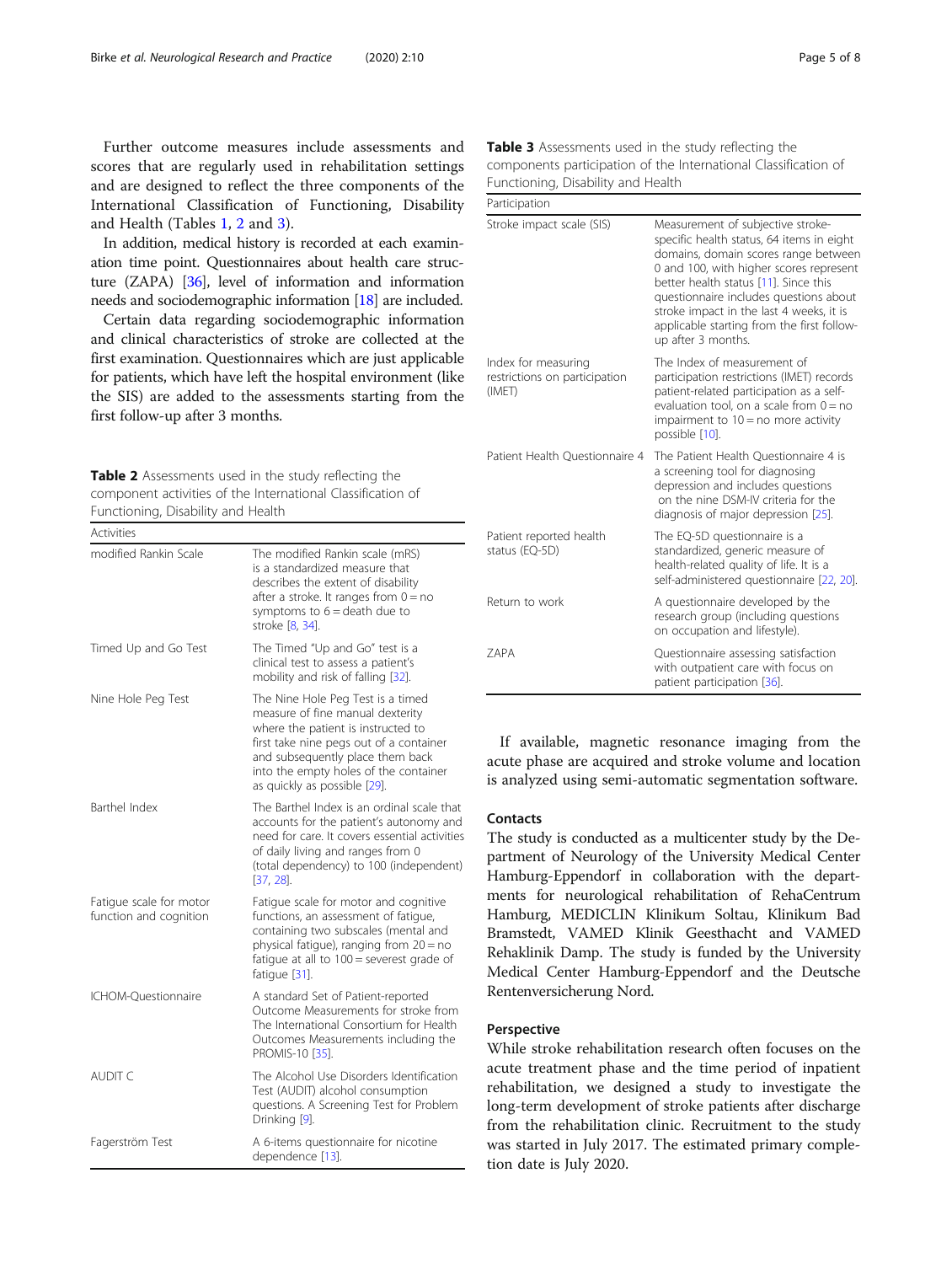Further outcome measures include assessments and scores that are regularly used in rehabilitation settings and are designed to reflect the three components of the International Classification of Functioning, Disability and Health (Tables [1,](#page-3-0) 2 and 3).

In addition, medical history is recorded at each examination time point. Questionnaires about health care structure (ZAPA) [\[36](#page-6-0)], level of information and information needs and sociodemographic information [\[18\]](#page-6-0) are included.

Certain data regarding sociodemographic information and clinical characteristics of stroke are collected at the first examination. Questionnaires which are just applicable for patients, which have left the hospital environment (like the SIS) are added to the assessments starting from the first follow-up after 3 months.

| <b>Table 2</b> Assessments used in the study reflecting the |  |
|-------------------------------------------------------------|--|
| component activities of the International Classification of |  |
| Functioning, Disability and Health                          |  |

| <b>Activities</b>                                 |                                                                                                                                                                                                                                                                     |
|---------------------------------------------------|---------------------------------------------------------------------------------------------------------------------------------------------------------------------------------------------------------------------------------------------------------------------|
| modified Rankin Scale                             | The modified Rankin scale (mRS)<br>is a standardized measure that<br>describes the extent of disability<br>after a stroke. It ranges from $0 = no$<br>symptoms to $6 =$ death due to<br>stroke [8, 34].                                                             |
| Timed Up and Go Test                              | The Timed "Up and Go" test is a<br>clinical test to assess a patient's<br>mobility and risk of falling [32].                                                                                                                                                        |
| Nine Hole Peg Test                                | The Nine Hole Peg Test is a timed<br>measure of fine manual dexterity<br>where the patient is instructed to<br>first take nine pegs out of a container<br>and subsequently place them back<br>into the empty holes of the container<br>as quickly as possible [29]. |
| <b>Barthel Index</b>                              | The Barthel Index is an ordinal scale that<br>accounts for the patient's autonomy and<br>need for care. It covers essential activities<br>of daily living and ranges from 0<br>(total dependency) to 100 (independent)<br>$[37, 28]$ .                              |
| Fatigue scale for motor<br>function and cognition | Fatigue scale for motor and cognitive<br>functions, an assessment of fatigue,<br>containing two subscales (mental and<br>physical fatigue), ranging from 20 = no<br>fatigue at all to $100$ = severest grade of<br>fatique [31].                                    |
| ICHOM-Ouestionnaire                               | A standard Set of Patient-reported<br>Outcome Measurements for stroke from<br>The International Consortium for Health<br>Outcomes Measurements including the<br>PROMIS-10 [35].                                                                                     |
| AUDIT C                                           | The Alcohol Use Disorders Identification<br>Test (AUDIT) alcohol consumption<br>questions. A Screening Test for Problem<br>Drinking [9].                                                                                                                            |
| Fagerström Test                                   | A 6-items questionnaire for nicotine<br>dependence [13].                                                                                                                                                                                                            |

| <b>Table 3</b> Assessments used in the study reflecting the     |  |
|-----------------------------------------------------------------|--|
| components participation of the International Classification of |  |
| Functioning, Disability and Health                              |  |

| Participation                                                  |                                                                                                                                                                                                                                                                                                                                                                      |  |
|----------------------------------------------------------------|----------------------------------------------------------------------------------------------------------------------------------------------------------------------------------------------------------------------------------------------------------------------------------------------------------------------------------------------------------------------|--|
| Stroke impact scale (SIS)                                      | Measurement of subjective stroke-<br>specific health status, 64 items in eight<br>domains, domain scores range between<br>0 and 100, with higher scores represent<br>better health status [11]. Since this<br>questionnaire includes questions about<br>stroke impact in the last 4 weeks, it is<br>applicable starting from the first follow-<br>up after 3 months. |  |
| Index for measuring<br>restrictions on participation<br>(IMET) | The Index of measurement of<br>participation restrictions (IMET) records<br>patient-related participation as a self-<br>evaluation tool, on a scale from $0 = no$<br>impairment to $10 = no$ more activity<br>possible [10].                                                                                                                                         |  |
| Patient Health Questionnaire 4                                 | The Patient Health Ouestionnaire 4 is<br>a screening tool for diagnosing<br>depression and includes questions<br>on the nine DSM-IV criteria for the<br>diagnosis of major depression [25].                                                                                                                                                                          |  |
| Patient reported health<br>status (EQ-5D)                      | The EQ-5D questionnaire is a<br>standardized, generic measure of<br>health-related quality of life. It is a<br>self-administered questionnaire [22, 20].                                                                                                                                                                                                             |  |
| Return to work                                                 | A questionnaire developed by the<br>research group (including questions<br>on occupation and lifestyle).                                                                                                                                                                                                                                                             |  |
| 7APA                                                           | Questionnaire assessing satisfaction<br>with outpatient care with focus on<br>patient participation [36].                                                                                                                                                                                                                                                            |  |

If available, magnetic resonance imaging from the acute phase are acquired and stroke volume and location is analyzed using semi-automatic segmentation software.

# **Contacts**

The study is conducted as a multicenter study by the Department of Neurology of the University Medical Center Hamburg-Eppendorf in collaboration with the departments for neurological rehabilitation of RehaCentrum Hamburg, MEDICLIN Klinikum Soltau, Klinikum Bad Bramstedt, VAMED Klinik Geesthacht and VAMED Rehaklinik Damp. The study is funded by the University Medical Center Hamburg-Eppendorf and the Deutsche Rentenversicherung Nord.

# Perspective

While stroke rehabilitation research often focuses on the acute treatment phase and the time period of inpatient rehabilitation, we designed a study to investigate the long-term development of stroke patients after discharge from the rehabilitation clinic. Recruitment to the study was started in July 2017. The estimated primary completion date is July 2020.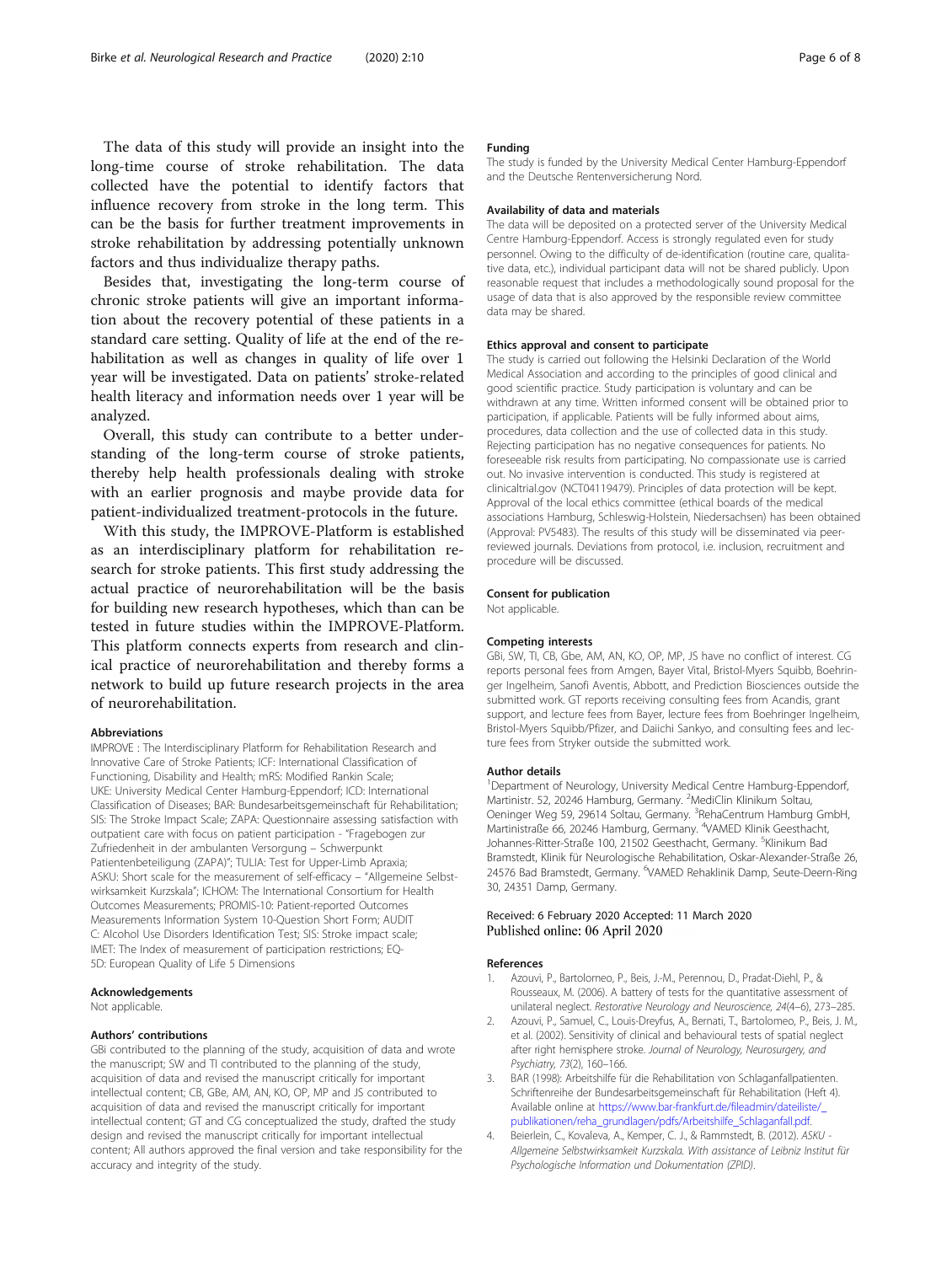<span id="page-5-0"></span>The data of this study will provide an insight into the long-time course of stroke rehabilitation. The data collected have the potential to identify factors that influence recovery from stroke in the long term. This can be the basis for further treatment improvements in stroke rehabilitation by addressing potentially unknown factors and thus individualize therapy paths.

Besides that, investigating the long-term course of chronic stroke patients will give an important information about the recovery potential of these patients in a standard care setting. Quality of life at the end of the rehabilitation as well as changes in quality of life over 1 year will be investigated. Data on patients' stroke-related health literacy and information needs over 1 year will be analyzed.

Overall, this study can contribute to a better understanding of the long-term course of stroke patients, thereby help health professionals dealing with stroke with an earlier prognosis and maybe provide data for patient-individualized treatment-protocols in the future.

With this study, the IMPROVE-Platform is established as an interdisciplinary platform for rehabilitation research for stroke patients. This first study addressing the actual practice of neurorehabilitation will be the basis for building new research hypotheses, which than can be tested in future studies within the IMPROVE-Platform. This platform connects experts from research and clinical practice of neurorehabilitation and thereby forms a network to build up future research projects in the area of neurorehabilitation.

#### Abbreviations

IMPROVE : The Interdisciplinary Platform for Rehabilitation Research and Innovative Care of Stroke Patients; ICF: International Classification of Functioning, Disability and Health; mRS: Modified Rankin Scale; UKE: University Medical Center Hamburg-Eppendorf; ICD: International Classification of Diseases; BAR: Bundesarbeitsgemeinschaft für Rehabilitation; SIS: The Stroke Impact Scale; ZAPA: Questionnaire assessing satisfaction with outpatient care with focus on patient participation - "Fragebogen zur Zufriedenheit in der ambulanten Versorgung – Schwerpunkt Patientenbeteiligung (ZAPA)"; TULIA: Test for Upper-Limb Apraxia; ASKU: Short scale for the measurement of self-efficacy – "Allgemeine Selbstwirksamkeit Kurzskala"; ICHOM: The International Consortium for Health Outcomes Measurements; PROMIS-10: Patient-reported Outcomes Measurements Information System 10-Question Short Form; AUDIT C: Alcohol Use Disorders Identification Test; SIS: Stroke impact scale; IMET: The Index of measurement of participation restrictions; EQ-5D: European Quality of Life 5 Dimensions

#### Acknowledgements

Not applicable.

#### Authors' contributions

GBi contributed to the planning of the study, acquisition of data and wrote the manuscript; SW and TI contributed to the planning of the study, acquisition of data and revised the manuscript critically for important intellectual content; CB, GBe, AM, AN, KO, OP, MP and JS contributed to acquisition of data and revised the manuscript critically for important intellectual content; GT and CG conceptualized the study, drafted the study design and revised the manuscript critically for important intellectual content; All authors approved the final version and take responsibility for the accuracy and integrity of the study.

#### Funding

The study is funded by the University Medical Center Hamburg-Eppendorf and the Deutsche Rentenversicherung Nord.

#### Availability of data and materials

The data will be deposited on a protected server of the University Medical Centre Hamburg-Eppendorf. Access is strongly regulated even for study personnel. Owing to the difficulty of de-identification (routine care, qualitative data, etc.), individual participant data will not be shared publicly. Upon reasonable request that includes a methodologically sound proposal for the usage of data that is also approved by the responsible review committee data may be shared.

#### Ethics approval and consent to participate

The study is carried out following the Helsinki Declaration of the World Medical Association and according to the principles of good clinical and good scientific practice. Study participation is voluntary and can be withdrawn at any time. Written informed consent will be obtained prior to participation, if applicable. Patients will be fully informed about aims, procedures, data collection and the use of collected data in this study. Rejecting participation has no negative consequences for patients. No foreseeable risk results from participating. No compassionate use is carried out. No invasive intervention is conducted. This study is registered at clinicaltrial.gov (NCT04119479). Principles of data protection will be kept. Approval of the local ethics committee (ethical boards of the medical associations Hamburg, Schleswig-Holstein, Niedersachsen) has been obtained (Approval: PV5483). The results of this study will be disseminated via peerreviewed journals. Deviations from protocol, i.e. inclusion, recruitment and procedure will be discussed.

#### Consent for publication

Not applicable.

#### Competing interests

GBi, SW, TI, CB, Gbe, AM, AN, KO, OP, MP, JS have no conflict of interest. CG reports personal fees from Amgen, Bayer Vital, Bristol-Myers Squibb, Boehringer Ingelheim, Sanofi Aventis, Abbott, and Prediction Biosciences outside the submitted work. GT reports receiving consulting fees from Acandis, grant support, and lecture fees from Bayer, lecture fees from Boehringer Ingelheim, Bristol-Myers Squibb/Pfizer, and Daiichi Sankyo, and consulting fees and lecture fees from Stryker outside the submitted work.

#### Author details

<sup>1</sup>Department of Neurology, University Medical Centre Hamburg-Eppendorf Martinistr. 52, 20246 Hamburg, Germany. <sup>2</sup>MediClin Klinikum Soltau, Oeninger Weg 59, 29614 Soltau, Germany. <sup>3</sup>RehaCentrum Hamburg GmbH, Martinistraße 66, 20246 Hamburg, Germany. <sup>4</sup>VAMED Klinik Geesthacht Johannes-Ritter-Straße 100, 21502 Geesthacht, Germany. <sup>5</sup>Klinikum Bad Bramstedt, Klinik für Neurologische Rehabilitation, Oskar-Alexander-Straße 26, 24576 Bad Bramstedt, Germany. <sup>6</sup>VAMED Rehaklinik Damp, Seute-Deern-Ring 30, 24351 Damp, Germany.

## Received: 6 February 2020 Accepted: 11 March 2020 Published online: 06 April 2020

#### References

- 1. Azouvi, P., Bartolomeo, P., Beis, J.-M., Perennou, D., Pradat-Diehl, P., & Rousseaux, M. (2006). A battery of tests for the quantitative assessment of unilateral neglect. Restorative Neurology and Neuroscience, 24(4–6), 273–285.
- 2. Azouvi, P., Samuel, C., Louis-Dreyfus, A., Bernati, T., Bartolomeo, P., Beis, J. M., et al. (2002). Sensitivity of clinical and behavioural tests of spatial neglect after right hemisphere stroke. Journal of Neurology, Neurosurgery, and Psychiatry, 73(2), 160–166.
- 3. BAR (1998): Arbeitshilfe für die Rehabilitation von Schlaganfallpatienten. Schriftenreihe der Bundesarbeitsgemeinschaft für Rehabilitation (Heft 4). Available online at [https://www.bar-frankfurt.de/fileadmin/dateiliste/\\_](https://www.bar-frankfurt.de/fileadmin/dateiliste/_publikationen/reha_grundlagen/pdfs/Arbeitshilfe_Schlaganfall.pdf) [publikationen/reha\\_grundlagen/pdfs/Arbeitshilfe\\_Schlaganfall.pdf.](https://www.bar-frankfurt.de/fileadmin/dateiliste/_publikationen/reha_grundlagen/pdfs/Arbeitshilfe_Schlaganfall.pdf)
- 4. Beierlein, C., Kovaleva, A., Kemper, C. J., & Rammstedt, B. (2012). ASKU Allgemeine Selbstwirksamkeit Kurzskala. With assistance of Leibniz Institut für Psychologische Information und Dokumentation (ZPID).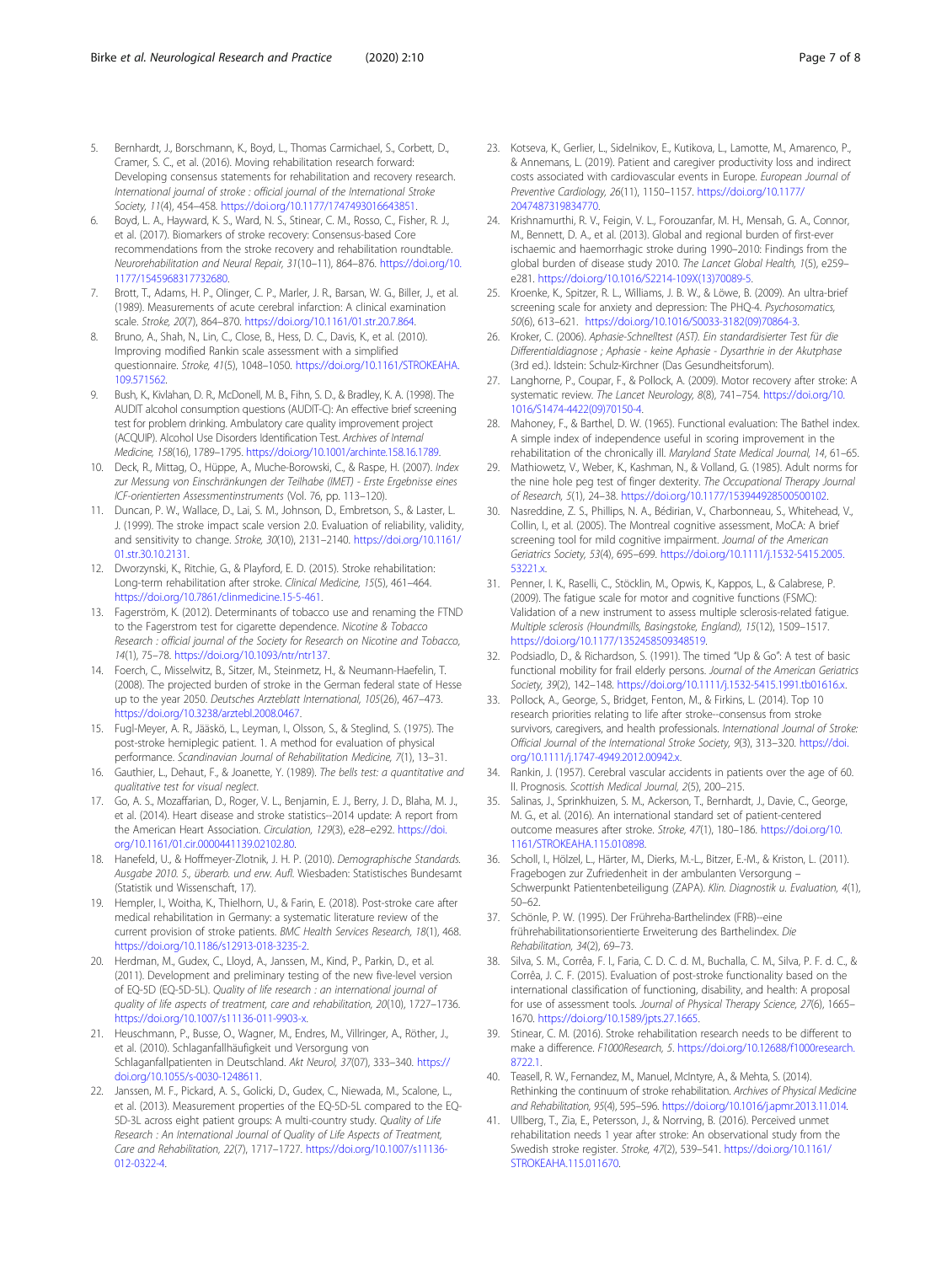- <span id="page-6-0"></span>5. Bernhardt, J., Borschmann, K., Boyd, L., Thomas Carmichael, S., Corbett, D., Cramer, S. C., et al. (2016). Moving rehabilitation research forward: Developing consensus statements for rehabilitation and recovery research. International journal of stroke : official journal of the International Stroke Society, 11(4), 454–458. <https://doi.org/10.1177/1747493016643851>.
- 6. Boyd, L. A., Hayward, K. S., Ward, N. S., Stinear, C. M., Rosso, C., Fisher, R. J., et al. (2017). Biomarkers of stroke recovery: Consensus-based Core recommendations from the stroke recovery and rehabilitation roundtable. Neurorehabilitation and Neural Repair, 31(10–11), 864–876. [https://doi.org/10.](https://doi.org/10.1177/1545968317732680) [1177/1545968317732680](https://doi.org/10.1177/1545968317732680).
- 7. Brott, T., Adams, H. P., Olinger, C. P., Marler, J. R., Barsan, W. G., Biller, J., et al. (1989). Measurements of acute cerebral infarction: A clinical examination scale. Stroke, 20(7), 864–870. <https://doi.org/10.1161/01.str.20.7.864>.
- Bruno, A., Shah, N., Lin, C., Close, B., Hess, D. C., Davis, K., et al. (2010). Improving modified Rankin scale assessment with a simplified questionnaire. Stroke, 41(5), 1048–1050. [https://doi.org/10.1161/STROKEAHA.](https://doi.org/10.1161/STROKEAHA.109.571562) [109.571562.](https://doi.org/10.1161/STROKEAHA.109.571562)
- 9. Bush, K., Kivlahan, D. R., McDonell, M. B., Fihn, S. D., & Bradley, K. A. (1998). The AUDIT alcohol consumption questions (AUDIT-C): An effective brief screening test for problem drinking. Ambulatory care quality improvement project (ACQUIP). Alcohol Use Disorders Identification Test. Archives of Internal Medicine, 158(16), 1789–1795. [https://doi.org/10.1001/archinte.158.16.1789.](https://doi.org/10.1001/archinte.158.16.1789)
- 10. Deck, R., Mittag, O., Hüppe, A., Muche-Borowski, C., & Raspe, H. (2007). Index zur Messung von Einschränkungen der Teilhabe (IMET) - Erste Ergebnisse eines ICF-orientierten Assessmentinstruments (Vol. 76, pp. 113–120).
- 11. Duncan, P. W., Wallace, D., Lai, S. M., Johnson, D., Embretson, S., & Laster, L. J. (1999). The stroke impact scale version 2.0. Evaluation of reliability, validity, and sensitivity to change. Stroke, 30(10), 2131–2140. [https://doi.org/10.1161/](https://doi.org/10.1161/01.str.30.10.2131) [01.str.30.10.2131](https://doi.org/10.1161/01.str.30.10.2131).
- 12. Dworzynski, K., Ritchie, G., & Playford, E. D. (2015). Stroke rehabilitation: Long-term rehabilitation after stroke. Clinical Medicine, 15(5), 461–464. [https://doi.org/10.7861/clinmedicine.15-5-461.](https://doi.org/10.7861/clinmedicine.15-5-461)
- 13. Fagerström, K. (2012). Determinants of tobacco use and renaming the FTND to the Fagerstrom test for cigarette dependence. Nicotine & Tobacco Research : official journal of the Society for Research on Nicotine and Tobacco, 14(1), 75–78. <https://doi.org/10.1093/ntr/ntr137>.
- 14. Foerch, C., Misselwitz, B., Sitzer, M., Steinmetz, H., & Neumann-Haefelin, T. (2008). The projected burden of stroke in the German federal state of Hesse up to the year 2050. Deutsches Arzteblatt International, 105(26), 467–473. [https://doi.org/10.3238/arztebl.2008.0467.](https://doi.org/10.3238/arztebl.2008.0467)
- 15. Fugl-Meyer, A. R., Jääskö, L., Leyman, I., Olsson, S., & Steglind, S. (1975). The post-stroke hemiplegic patient. 1. A method for evaluation of physical performance. Scandinavian Journal of Rehabilitation Medicine, 7(1), 13–31.
- 16. Gauthier, L., Dehaut, F., & Joanette, Y. (1989). The bells test: a quantitative and qualitative test for visual neglect.
- 17. Go, A. S., Mozaffarian, D., Roger, V. L., Benjamin, E. J., Berry, J. D., Blaha, M. J., et al. (2014). Heart disease and stroke statistics--2014 update: A report from the American Heart Association. Circulation, 129(3), e28–e292. [https://doi.](https://doi.org/10.1161/01.cir.0000441139.02102.80) [org/10.1161/01.cir.0000441139.02102.80](https://doi.org/10.1161/01.cir.0000441139.02102.80).
- 18. Hanefeld, U., & Hoffmeyer-Zlotnik, J. H. P. (2010). Demographische Standards. Ausgabe 2010. 5., überarb. und erw. Aufl. Wiesbaden: Statistisches Bundesamt (Statistik und Wissenschaft, 17).
- 19. Hempler, I., Woitha, K., Thielhorn, U., & Farin, E. (2018). Post-stroke care after medical rehabilitation in Germany: a systematic literature review of the current provision of stroke patients. BMC Health Services Research, 18(1), 468. <https://doi.org/10.1186/s12913-018-3235-2>.
- 20. Herdman, M., Gudex, C., Lloyd, A., Janssen, M., Kind, P., Parkin, D., et al. (2011). Development and preliminary testing of the new five-level version of EQ-5D (EQ-5D-5L). Quality of life research : an international journal of quality of life aspects of treatment, care and rehabilitation, 20(10), 1727–1736. [https://doi.org/10.1007/s11136-011-9903-x.](https://doi.org/10.1007/s11136-011-9903-x)
- 21. Heuschmann, P., Busse, O., Wagner, M., Endres, M., Villringer, A., Röther, J., et al. (2010). Schlaganfallhäufigkeit und Versorgung von Schlaganfallpatienten in Deutschland. Akt Neurol, 37(07), 333–340. [https://](https://doi.org/10.1055/s-0030-1248611) [doi.org/10.1055/s-0030-1248611.](https://doi.org/10.1055/s-0030-1248611)
- 22. Janssen, M. F., Pickard, A. S., Golicki, D., Gudex, C., Niewada, M., Scalone, L., et al. (2013). Measurement properties of the EQ-5D-5L compared to the EQ-5D-3L across eight patient groups: A multi-country study. Quality of Life Research : An International Journal of Quality of Life Aspects of Treatment, Care and Rehabilitation, 22(7), 1717–1727. [https://doi.org/10.1007/s11136-](https://doi.org/10.1007/s11136-012-0322-4) [012-0322-4](https://doi.org/10.1007/s11136-012-0322-4).
- 23. Kotseva, K., Gerlier, L., Sidelnikov, E., Kutikova, L., Lamotte, M., Amarenco, P., & Annemans, L. (2019). Patient and caregiver productivity loss and indirect costs associated with cardiovascular events in Europe. European Journal of Preventive Cardiology, 26(11), 1150–1157. [https://doi.org/10.1177/](https://doi.org/10.1177/2047487319834770) [2047487319834770](https://doi.org/10.1177/2047487319834770).
- 24. Krishnamurthi, R. V., Feigin, V. L., Forouzanfar, M. H., Mensah, G. A., Connor, M., Bennett, D. A., et al. (2013). Global and regional burden of first-ever ischaemic and haemorrhagic stroke during 1990–2010: Findings from the global burden of disease study 2010. The Lancet Global Health, 1(5), e259– e281. [https://doi.org/10.1016/S2214-109X\(13\)70089-5](https://doi.org/10.1016/S2214-109X(13)70089-5).
- 25. Kroenke, K., Spitzer, R. L., Williams, J. B. W., & Löwe, B. (2009). An ultra-brief screening scale for anxiety and depression: The PHQ-4. Psychosomatics, 50(6), 613–621. [https://doi.org/10.1016/S0033-3182\(09\)70864-3](https://doi.org/10.1016/S0033-3182(09)70864-3).
- 26. Kroker, C. (2006). Aphasie-Schnelltest (AST). Ein standardisierter Test für die Differentialdiagnose ; Aphasie - keine Aphasie - Dysarthrie in der Akutphase (3rd ed.). Idstein: Schulz-Kirchner (Das Gesundheitsforum).
- 27. Langhorne, P., Coupar, F., & Pollock, A. (2009). Motor recovery after stroke: A systematic review. The Lancet Neurology, 8(8), 741-754. [https://doi.org/10.](https://doi.org/10.1016/S1474-4422(09)70150-4) [1016/S1474-4422\(09\)70150-4.](https://doi.org/10.1016/S1474-4422(09)70150-4)
- 28. Mahoney, F., & Barthel, D. W. (1965). Functional evaluation: The Bathel index. A simple index of independence useful in scoring improvement in the rehabilitation of the chronically ill. Maryland State Medical Journal, 14, 61–65.
- 29. Mathiowetz, V., Weber, K., Kashman, N., & Volland, G. (1985). Adult norms for the nine hole peg test of finger dexterity. The Occupational Therapy Journal of Research, 5(1), 24–38. <https://doi.org/10.1177/153944928500500102>.
- 30. Nasreddine, Z. S., Phillips, N. A., Bédirian, V., Charbonneau, S., Whitehead, V., Collin, I., et al. (2005). The Montreal cognitive assessment, MoCA: A brief screening tool for mild cognitive impairment. Journal of the American Geriatrics Society, 53(4), 695–699. [https://doi.org/10.1111/j.1532-5415.2005.](https://doi.org/10.1111/j.1532-5415.2005.53221.x) [53221.x](https://doi.org/10.1111/j.1532-5415.2005.53221.x).
- 31. Penner, I. K., Raselli, C., Stöcklin, M., Opwis, K., Kappos, L., & Calabrese, P. (2009). The fatigue scale for motor and cognitive functions (FSMC): Validation of a new instrument to assess multiple sclerosis-related fatigue. Multiple sclerosis (Houndmills, Basingstoke, England), 15(12), 1509–1517. [https://doi.org/10.1177/1352458509348519.](https://doi.org/10.1177/1352458509348519)
- 32. Podsiadlo, D., & Richardson, S. (1991). The timed "Up & Go": A test of basic functional mobility for frail elderly persons. Journal of the American Geriatrics Society, 39(2), 142-148. [https://doi.org/10.1111/j.1532-5415.1991.tb01616.x.](https://doi.org/10.1111/j.1532-5415.1991.tb01616.x)
- 33. Pollock, A., George, S., Bridget, Fenton, M., & Firkins, L. (2014). Top 10 research priorities relating to life after stroke--consensus from stroke survivors, caregivers, and health professionals. International Journal of Stroke: Official Journal of the International Stroke Society, 9(3), 313–320. [https://doi.](https://doi.org/10.1111/j.1747-4949.2012.00942.x) [org/10.1111/j.1747-4949.2012.00942.x](https://doi.org/10.1111/j.1747-4949.2012.00942.x).
- 34. Rankin, J. (1957). Cerebral vascular accidents in patients over the age of 60. II. Prognosis. Scottish Medical Journal, 2(5), 200–215.
- 35. Salinas, J., Sprinkhuizen, S. M., Ackerson, T., Bernhardt, J., Davie, C., George, M. G., et al. (2016). An international standard set of patient-centered outcome measures after stroke. Stroke, 47(1), 180–186. [https://doi.org/10.](https://doi.org/10.1161/STROKEAHA.115.010898) [1161/STROKEAHA.115.010898](https://doi.org/10.1161/STROKEAHA.115.010898).
- 36. Scholl, I., Hölzel, L., Härter, M., Dierks, M.-L., Bitzer, E.-M., & Kriston, L. (2011). Fragebogen zur Zufriedenheit in der ambulanten Versorgung – Schwerpunkt Patientenbeteiligung (ZAPA). Klin. Diagnostik u. Evaluation, 4(1), 50–62.
- 37. Schönle, P. W. (1995). Der Frühreha-Barthelindex (FRB)--eine frührehabilitationsorientierte Erweiterung des Barthelindex. Die Rehabilitation, 34(2), 69–73.
- 38. Silva, S. M., Corrêa, F. I., Faria, C. D. C. d. M., Buchalla, C. M., Silva, P. F. d. C., & Corrêa, J. C. F. (2015). Evaluation of post-stroke functionality based on the international classification of functioning, disability, and health: A proposal for use of assessment tools. Journal of Physical Therapy Science, 27(6), 1665– 1670. [https://doi.org/10.1589/jpts.27.1665.](https://doi.org/10.1589/jpts.27.1665)
- 39. Stinear, C. M. (2016). Stroke rehabilitation research needs to be different to make a difference. F1000Research, 5. [https://doi.org/10.12688/f1000research.](https://doi.org/10.12688/f1000research.8722.1) [8722.1](https://doi.org/10.12688/f1000research.8722.1).
- 40. Teasell, R. W., Fernandez, M., Manuel, McIntyre, A., & Mehta, S. (2014). Rethinking the continuum of stroke rehabilitation. Archives of Physical Medicine and Rehabilitation, 95(4), 595–596. [https://doi.org/10.1016/j.apmr.2013.11.014.](https://doi.org/10.1016/j.apmr.2013.11.014)
- 41. Ullberg, T., Zia, E., Petersson, J., & Norrving, B. (2016). Perceived unmet rehabilitation needs 1 year after stroke: An observational study from the Swedish stroke register. Stroke, 47(2), 539–541. [https://doi.org/10.1161/](https://doi.org/10.1161/STROKEAHA.115.011670) [STROKEAHA.115.011670](https://doi.org/10.1161/STROKEAHA.115.011670).